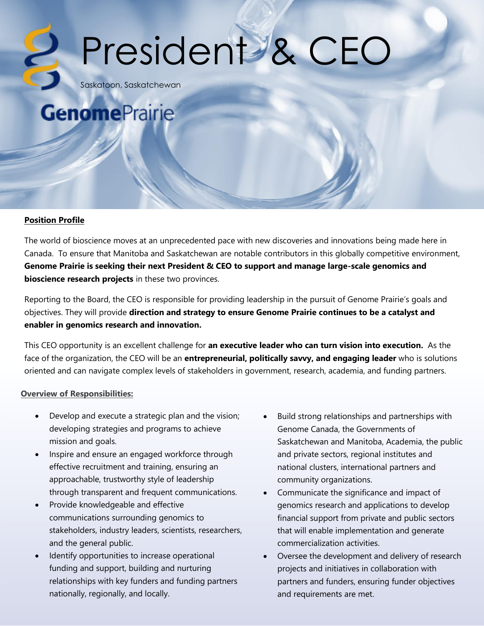# President & CEO

Saskatoon, Saskatchewan

### **GenomePrairie**

#### **Position Profile**

The world of bioscience moves at an unprecedented pace with new discoveries and innovations being made here in Canada. To ensure that Manitoba and Saskatchewan are notable contributors in this globally competitive environment, **Genome Prairie is seeking their next President & CEO to support and manage large-scale genomics and bioscience research projects** in these two provinces.

Reporting to the Board, the CEO is responsible for providing leadership in the pursuit of Genome Prairie's goals and objectives. They will provide **direction and strategy to ensure Genome Prairie continues to be a catalyst and enabler in genomics research and innovation.**

This CEO opportunity is an excellent challenge for **an executive leader who can turn vision into execution.** As the face of the organization, the CEO will be an **entrepreneurial, politically savvy, and engaging leader** who is solutions oriented and can navigate complex levels of stakeholders in government, research, academia, and funding partners.

#### **Overview of Responsibilities:**

- Develop and execute a strategic plan and the vision; developing strategies and programs to achieve mission and goals.
- Inspire and ensure an engaged workforce through effective recruitment and training, ensuring an approachable, trustworthy style of leadership through transparent and frequent communications.
- Provide knowledgeable and effective communications surrounding genomics to stakeholders, industry leaders, scientists, researchers, and the general public.
- Identify opportunities to increase operational funding and support, building and nurturing relationships with key funders and funding partners nationally, regionally, and locally.
- Build strong relationships and partnerships with Genome Canada, the Governments of Saskatchewan and Manitoba, Academia, the public and private sectors, regional institutes and national clusters, international partners and community organizations.
- Communicate the significance and impact of genomics research and applications to develop financial support from private and public sectors that will enable implementation and generate commercialization activities.
- Oversee the development and delivery of research projects and initiatives in collaboration with partners and funders, ensuring funder objectives and requirements are met.